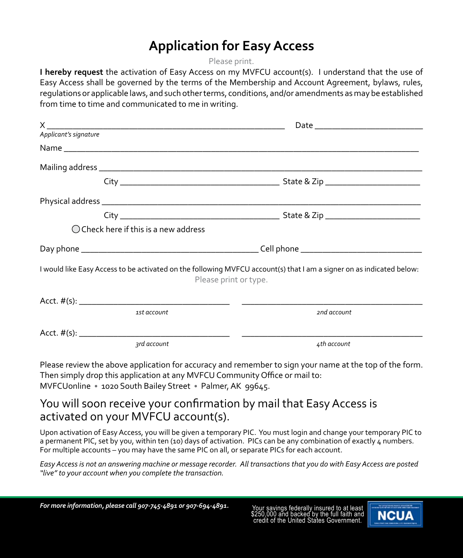## **Application for Easy Access**

Please print.

**I hereby request** the activation of Easy Access on my MVFCU account(s). I understand that the use of Easy Access shall be governed by the terms of the Membership and Account Agreement, bylaws, rules, regulations or applicable laws, and such other terms, conditions, and/or amendments as may be established from time to time and communicated to me in writing.

| Applicant's signature |                                                |                                                                                                                                               |
|-----------------------|------------------------------------------------|-----------------------------------------------------------------------------------------------------------------------------------------------|
|                       |                                                |                                                                                                                                               |
|                       |                                                |                                                                                                                                               |
|                       |                                                |                                                                                                                                               |
|                       |                                                |                                                                                                                                               |
|                       |                                                |                                                                                                                                               |
|                       | $\bigcirc$ Check here if this is a new address |                                                                                                                                               |
|                       |                                                |                                                                                                                                               |
|                       |                                                | I would like Easy Access to be activated on the following MVFCU account(s) that I am a signer on as indicated below:<br>Please print or type. |
|                       |                                                |                                                                                                                                               |
|                       | 1st account                                    | 2nd account                                                                                                                                   |
|                       |                                                |                                                                                                                                               |
|                       | 3rd account                                    | 4th account                                                                                                                                   |

Please review the above application for accuracy and remember to sign your name at the top of the form. Then simply drop this application at any MVFCU Community Office or mail to: MVFCUonline • 1020 South Bailey Street • Palmer, AK 99645.

#### You will soon receive your confirmation by mail that Easy Access is activated on your MVFCU account(s).

Upon activation of Easy Access, you will be given a temporary PIC. You must login and change your temporary PIC to a permanent PIC, set by you, within ten (10) days of activation. PICs can be any combination of exactly 4 numbers. For multiple accounts – you may have the same PIC on all, or separate PICs for each account.

*Easy Access is not an answering machine or message recorder. All transactions that you do with Easy Access are posted "live" to your account when you complete the transaction.*

\$250,000 and backed by the full faith and credit of the United States Government.